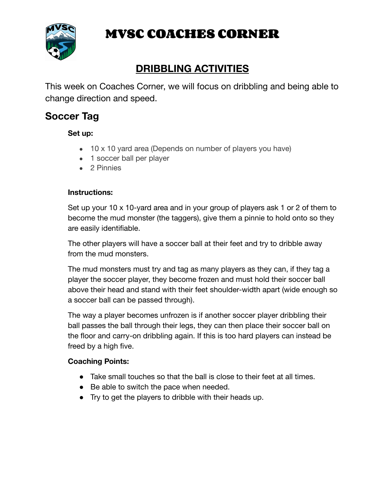

# **MVSC COACHES CORNER**

## **DRIBBLING ACTIVITIES**

This week on Coaches Corner, we will focus on dribbling and being able to change direction and speed.

## **Soccer Tag**

#### **Set up:**

- 10 x 10 yard area (Depends on number of players you have)
- 1 soccer ball per player
- 2 Pinnies

#### **Instructions:**

Set up your 10 x 10-yard area and in your group of players ask 1 or 2 of them to become the mud monster (the taggers), give them a pinnie to hold onto so they are easily identifiable.

The other players will have a soccer ball at their feet and try to dribble away from the mud monsters.

The mud monsters must try and tag as many players as they can, if they tag a player the soccer player, they become frozen and must hold their soccer ball above their head and stand with their feet shoulder-width apart (wide enough so a soccer ball can be passed through).

The way a player becomes unfrozen is if another soccer player dribbling their ball passes the ball through their legs, they can then place their soccer ball on the floor and carry-on dribbling again. If this is too hard players can instead be freed by a high five.

#### **Coaching Points:**

- Take small touches so that the ball is close to their feet at all times.
- Be able to switch the pace when needed.
- Try to get the players to dribble with their heads up.